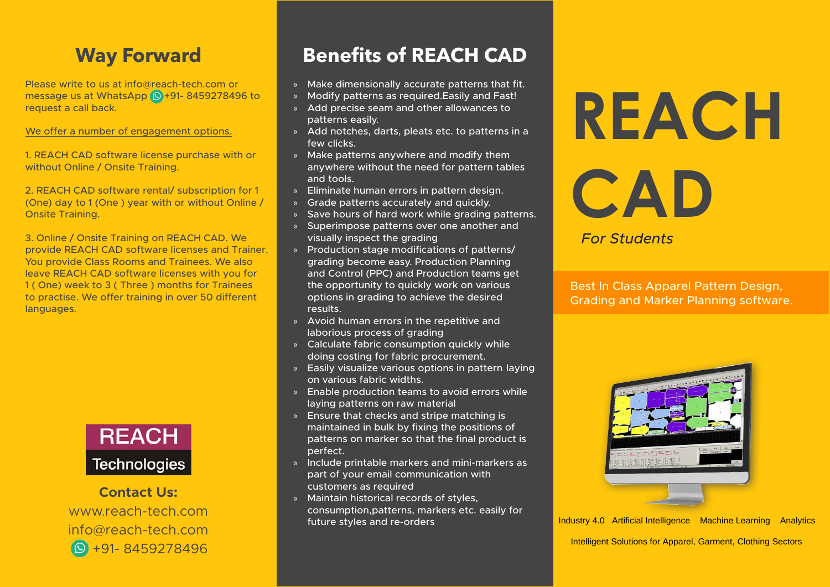### **Way Forward**

Please write to us at info  $\alpha$  reach-tech.com or message us at WhatsApp  $\circledR$ +91-8459278496 to request a call back.

We offer a number of engagement options.

1. REACH CAD software license purchase with or without Online / Onsite Training.

2. REACH CAD software rental/ subscription for 1 (One) day to 1 (One) year with or without Online / **Onsite Training.** 

3. Online / Onsite Training on REACH CAD. We provide REACH CAD software licenses and Trainer. You provide Class Rooms and Trainees. We also leave REACH CAD software licenses with you for 1 (One) week to 3 (Three ) months for Trainees to practise. We offer training in over 50 different languages.



**Contact Us:** www.reach-tech.com info@reach-tech.com 91-8459278496

### **Benefits of REACH CAD**

- » Make dimensionally accurate patterns that fit.
- » Modify patterns as required Easily and Fast!
- » Add precise seam and other allowances to patterns easily.
- » Add notches, darts, pleats etc. to patterns in a few clicks.
- $\lambda$  Make patterns anywhere and modify them anywhere without the need for pattern tables and tools.
- » Eliminate human errors in pattern design.
- » Grade patterns accurately and quickly.
- » Save hours of hard work while grading patterns.
- » Superimpose patterns over one another and visually inspect the grading
- » Production stage modifications of patterns/ grading become easy. Production Planning and Control (PPC) and Production teams get the opportunity to quickly work on various options in grading to achieve the desired .results
- » Avoid human errors in the repetitive and laborious process of grading
- » Calculate fabric consumption quickly while doing costing for fabric procurement.
- » Easily visualize various options in pattern laying on various fabric widths.
- $\sqrt{ }$  Enable production teams to avoid errors while laying patterns on raw material
- $\mathcal{S}$  Ensure that checks and stripe matching is maintained in bulk by fixing the positions of patterns on marker so that the final product is .perfect
- » Include printable markers and mini-markers as part of your email communication with customers as required
- » Maintain historical records of styles, consumption, patterns, markers etc. easily for future styles and re-orders

# **REACH**

# **CAD**

*Students For*

Best In Class Apparel Pattern Design, Grading and Marker Planning software.



Industry 4.0 Artificial Intelligence Machine Learning Analytics Intelligent Solutions for Apparel, Garment, Clothing Sectors